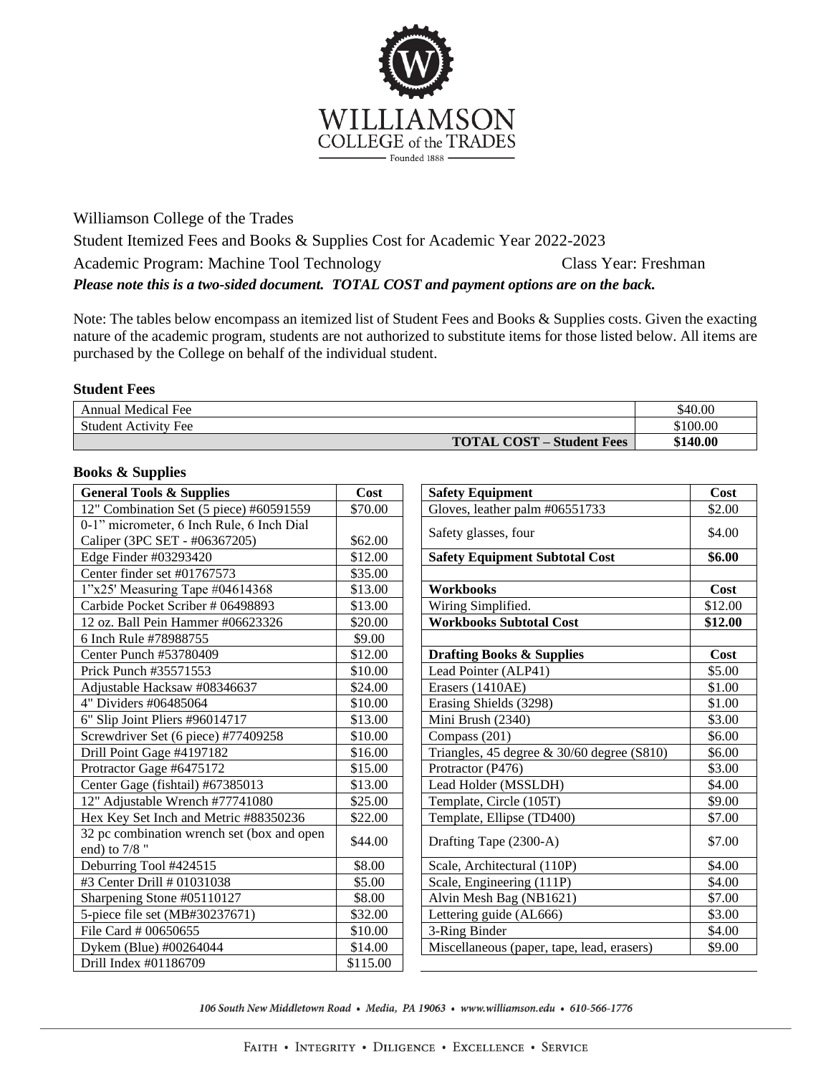

Williamson College of the Trades Student Itemized Fees and Books & Supplies Cost for Academic Year 2022-2023 Academic Program: Machine Tool Technology Class Year: Freshman *Please note this is a two-sided document. TOTAL COST and payment options are on the back.*

Note: The tables below encompass an itemized list of Student Fees and Books & Supplies costs. Given the exacting nature of the academic program, students are not authorized to substitute items for those listed below. All items are purchased by the College on behalf of the individual student.

## **Student Fees**

| Annual Medical Fee                           | \$40.00  |
|----------------------------------------------|----------|
| <b>Student Activity Fee</b>                  | \$100.00 |
| <b>T</b> – Student Fees<br><b>TOTAL COST</b> | \$140.00 |

## **Books & Supplies**

| <b>General Tools &amp; Supplies</b>                                        | Cost     | <b>Safety Equipment</b>                       | Cost    |
|----------------------------------------------------------------------------|----------|-----------------------------------------------|---------|
| 12" Combination Set (5 piece) #60591559                                    | \$70.00  | Gloves, leather palm #06551733                | \$2.00  |
| 0-1" micrometer, 6 Inch Rule, 6 Inch Dial<br>Caliper (3PC SET - #06367205) | \$62.00  | Safety glasses, four                          | \$4.00  |
| Edge Finder #03293420                                                      | \$12.00  | <b>Safety Equipment Subtotal Cost</b>         | \$6.00  |
| Center finder set #01767573                                                | \$35.00  |                                               |         |
| 1"x25' Measuring Tape #04614368                                            | \$13.00  | <b>Workbooks</b>                              | Cost    |
| Carbide Pocket Scriber # 06498893                                          | \$13.00  | Wiring Simplified.                            | \$12.00 |
| 12 oz. Ball Pein Hammer #06623326                                          | \$20.00  | <b>Workbooks Subtotal Cost</b>                | \$12.00 |
| 6 Inch Rule #78988755                                                      | \$9.00   |                                               |         |
| Center Punch #53780409                                                     | \$12.00  | <b>Drafting Books &amp; Supplies</b>          | Cost    |
| Prick Punch #35571553                                                      | \$10.00  | Lead Pointer (ALP41)                          | \$5.00  |
| Adjustable Hacksaw #08346637                                               | \$24.00  | Erasers (1410AE)                              | \$1.00  |
| 4" Dividers #06485064                                                      | \$10.00  | Erasing Shields (3298)                        | \$1.00  |
| 6" Slip Joint Pliers #96014717                                             | \$13.00  | Mini Brush (2340)                             | \$3.00  |
| Screwdriver Set (6 piece) #77409258                                        | \$10.00  | Compass (201)                                 | \$6.00  |
| Drill Point Gage #4197182                                                  | \$16.00  | Triangles, 45 degree $\&$ 30/60 degree (S810) | \$6.00  |
| Protractor Gage #6475172                                                   | \$15.00  | Protractor (P476)                             | \$3.00  |
| Center Gage (fishtail) #67385013                                           | \$13.00  | Lead Holder (MSSLDH)                          | \$4.00  |
| 12" Adjustable Wrench #77741080                                            | \$25.00  | Template, Circle (105T)                       | \$9.00  |
| Hex Key Set Inch and Metric #88350236                                      | \$22.00  | Template, Ellipse (TD400)                     | \$7.00  |
| 32 pc combination wrench set (box and open<br>end) to 7/8 "                | \$44.00  | Drafting Tape (2300-A)                        | \$7.00  |
| Deburring Tool #424515                                                     | \$8.00   | Scale, Architectural (110P)                   | \$4.00  |
| #3 Center Drill # 01031038                                                 | \$5.00   | Scale, Engineering (111P)                     | \$4.00  |
| Sharpening Stone #05110127                                                 | \$8.00   | Alvin Mesh Bag (NB1621)                       | \$7.00  |
| 5-piece file set (MB#30237671)                                             | \$32.00  | Lettering guide (AL666)                       | \$3.00  |
| File Card # 00650655                                                       | \$10.00  | 3-Ring Binder                                 | \$4.00  |
| Dykem (Blue) #00264044                                                     | \$14.00  | Miscellaneous (paper, tape, lead, erasers)    | \$9.00  |
| Drill Index #01186709                                                      | \$115.00 |                                               |         |

106 South New Middletown Road • Media, PA 19063 • www.williamson.edu • 610-566-1776